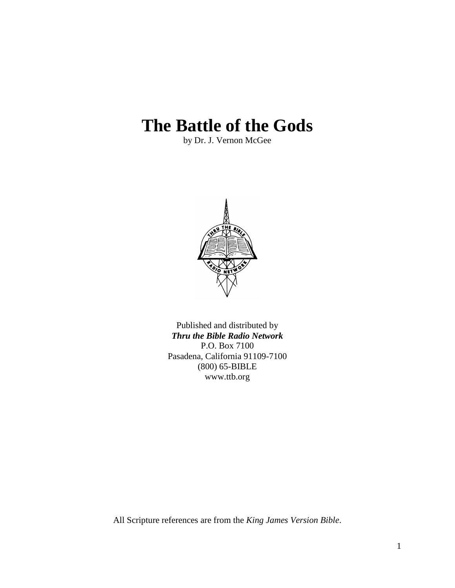# **The Battle of the Gods**

by Dr. J. Vernon McGee



Published and distributed by *Thru the Bible Radio Network* P.O. Box 7100 Pasadena, California 91109-7100 (800) 65-BIBLE www.ttb.org

All Scripture references are from the *King James Version Bible*.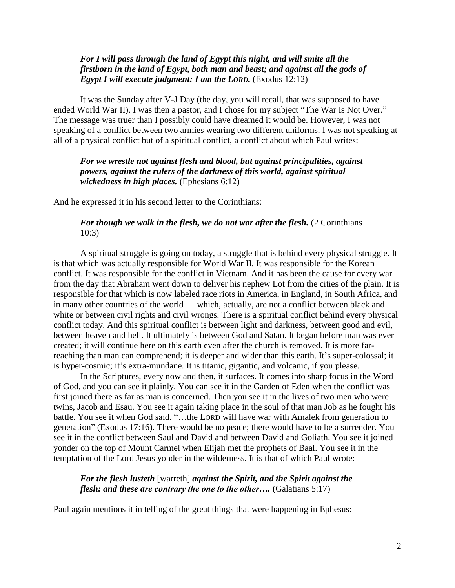# *For I will pass through the land of Egypt this night, and will smite all the firstborn in the land of Egypt, both man and beast; and against all the gods of Egypt I will execute judgment: I am the LORD.* (Exodus 12:12)

It was the Sunday after V-J Day (the day, you will recall, that was supposed to have ended World War II). I was then a pastor, and I chose for my subject "The War Is Not Over." The message was truer than I possibly could have dreamed it would be. However, I was not speaking of a conflict between two armies wearing two different uniforms. I was not speaking at all of a physical conflict but of a spiritual conflict, a conflict about which Paul writes:

*For we wrestle not against flesh and blood, but against principalities, against powers, against the rulers of the darkness of this world, against spiritual wickedness in high places.* (Ephesians 6:12)

And he expressed it in his second letter to the Corinthians:

# *For though we walk in the flesh, we do not war after the flesh.* (2 Corinthians 10:3)

A spiritual struggle is going on today, a struggle that is behind every physical struggle. It is that which was actually responsible for World War II. It was responsible for the Korean conflict. It was responsible for the conflict in Vietnam. And it has been the cause for every war from the day that Abraham went down to deliver his nephew Lot from the cities of the plain. It is responsible for that which is now labeled race riots in America, in England, in South Africa, and in many other countries of the world — which, actually, are not a conflict between black and white or between civil rights and civil wrongs. There is a spiritual conflict behind every physical conflict today. And this spiritual conflict is between light and darkness, between good and evil, between heaven and hell. It ultimately is between God and Satan. It began before man was ever created; it will continue here on this earth even after the church is removed. It is more farreaching than man can comprehend; it is deeper and wider than this earth. It's super-colossal; it is hyper-cosmic; it's extra-mundane. It is titanic, gigantic, and volcanic, if you please.

In the Scriptures, every now and then, it surfaces. It comes into sharp focus in the Word of God, and you can see it plainly. You can see it in the Garden of Eden when the conflict was first joined there as far as man is concerned. Then you see it in the lives of two men who were twins, Jacob and Esau. You see it again taking place in the soul of that man Job as he fought his battle. You see it when God said, "…the LORD will have war with Amalek from generation to generation" (Exodus 17:16). There would be no peace; there would have to be a surrender. You see it in the conflict between Saul and David and between David and Goliath. You see it joined yonder on the top of Mount Carmel when Elijah met the prophets of Baal. You see it in the temptation of the Lord Jesus yonder in the wilderness. It is that of which Paul wrote:

# *For the flesh lusteth* [warreth] *against the Spirit, and the Spirit against the flesh: and these are contrary the one to the other….* (Galatians 5:17)

Paul again mentions it in telling of the great things that were happening in Ephesus: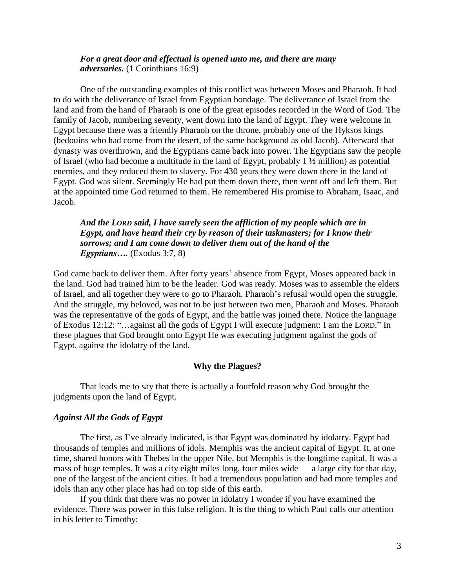# *For a great door and effectual is opened unto me, and there are many adversaries.* (1 Corinthians 16:9)

One of the outstanding examples of this conflict was between Moses and Pharaoh. It had to do with the deliverance of Israel from Egyptian bondage. The deliverance of Israel from the land and from the hand of Pharaoh is one of the great episodes recorded in the Word of God. The family of Jacob, numbering seventy, went down into the land of Egypt. They were welcome in Egypt because there was a friendly Pharaoh on the throne, probably one of the Hyksos kings (bedouins who had come from the desert, of the same background as old Jacob). Afterward that dynasty was overthrown, and the Egyptians came back into power. The Egyptians saw the people of Israel (who had become a multitude in the land of Egypt, probably 1 ½ million) as potential enemies, and they reduced them to slavery. For 430 years they were down there in the land of Egypt. God was silent. Seemingly He had put them down there, then went off and left them. But at the appointed time God returned to them. He remembered His promise to Abraham, Isaac, and Jacob.

# *And the LORD said, I have surely seen the affliction of my people which are in Egypt, and have heard their cry by reason of their taskmasters; for I know their sorrows; and I am come down to deliver them out of the hand of the Egyptians….* (Exodus 3:7, 8)

God came back to deliver them. After forty years' absence from Egypt, Moses appeared back in the land. God had trained him to be the leader. God was ready. Moses was to assemble the elders of Israel, and all together they were to go to Pharaoh. Pharaoh"s refusal would open the struggle. And the struggle, my beloved, was not to be just between two men, Pharaoh and Moses. Pharaoh was the representative of the gods of Egypt, and the battle was joined there. Notice the language of Exodus 12:12: "…against all the gods of Egypt I will execute judgment: I am the LORD." In these plagues that God brought onto Egypt He was executing judgment against the gods of Egypt, against the idolatry of the land.

# **Why the Plagues?**

That leads me to say that there is actually a fourfold reason why God brought the judgments upon the land of Egypt.

## *Against All the Gods of Egypt*

The first, as I"ve already indicated, is that Egypt was dominated by idolatry. Egypt had thousands of temples and millions of idols. Memphis was the ancient capital of Egypt. It, at one time, shared honors with Thebes in the upper Nile, but Memphis is the longtime capital. It was a mass of huge temples. It was a city eight miles long, four miles wide — a large city for that day, one of the largest of the ancient cities. It had a tremendous population and had more temples and idols than any other place has had on top side of this earth.

If you think that there was no power in idolatry I wonder if you have examined the evidence. There was power in this false religion. It is the thing to which Paul calls our attention in his letter to Timothy: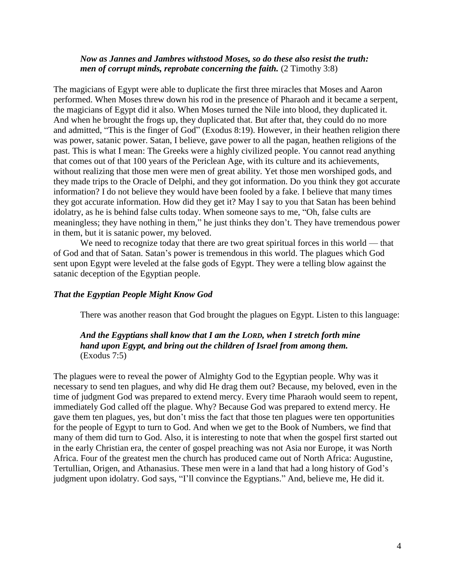## *Now as Jannes and Jambres withstood Moses, so do these also resist the truth: men of corrupt minds, reprobate concerning the faith.* (2 Timothy 3:8)

The magicians of Egypt were able to duplicate the first three miracles that Moses and Aaron performed. When Moses threw down his rod in the presence of Pharaoh and it became a serpent, the magicians of Egypt did it also. When Moses turned the Nile into blood, they duplicated it. And when he brought the frogs up, they duplicated that. But after that, they could do no more and admitted, "This is the finger of God" (Exodus 8:19). However, in their heathen religion there was power, satanic power. Satan, I believe, gave power to all the pagan, heathen religions of the past. This is what I mean: The Greeks were a highly civilized people. You cannot read anything that comes out of that 100 years of the Periclean Age, with its culture and its achievements, without realizing that those men were men of great ability. Yet those men worshiped gods, and they made trips to the Oracle of Delphi, and they got information. Do you think they got accurate information? I do not believe they would have been fooled by a fake. I believe that many times they got accurate information. How did they get it? May I say to you that Satan has been behind idolatry, as he is behind false cults today. When someone says to me, "Oh, false cults are meaningless; they have nothing in them," he just thinks they don"t. They have tremendous power in them, but it is satanic power, my beloved.

We need to recognize today that there are two great spiritual forces in this world — that of God and that of Satan. Satan"s power is tremendous in this world. The plagues which God sent upon Egypt were leveled at the false gods of Egypt. They were a telling blow against the satanic deception of the Egyptian people.

## *That the Egyptian People Might Know God*

There was another reason that God brought the plagues on Egypt. Listen to this language:

# *And the Egyptians shall know that I am the LORD, when I stretch forth mine hand upon Egypt, and bring out the children of Israel from among them.* (Exodus 7:5)

The plagues were to reveal the power of Almighty God to the Egyptian people. Why was it necessary to send ten plagues, and why did He drag them out? Because, my beloved, even in the time of judgment God was prepared to extend mercy. Every time Pharaoh would seem to repent, immediately God called off the plague. Why? Because God was prepared to extend mercy. He gave them ten plagues, yes, but don"t miss the fact that those ten plagues were ten opportunities for the people of Egypt to turn to God. And when we get to the Book of Numbers, we find that many of them did turn to God. Also, it is interesting to note that when the gospel first started out in the early Christian era, the center of gospel preaching was not Asia nor Europe, it was North Africa. Four of the greatest men the church has produced came out of North Africa: Augustine, Tertullian, Origen, and Athanasius. These men were in a land that had a long history of God"s judgment upon idolatry. God says, "I"ll convince the Egyptians." And, believe me, He did it.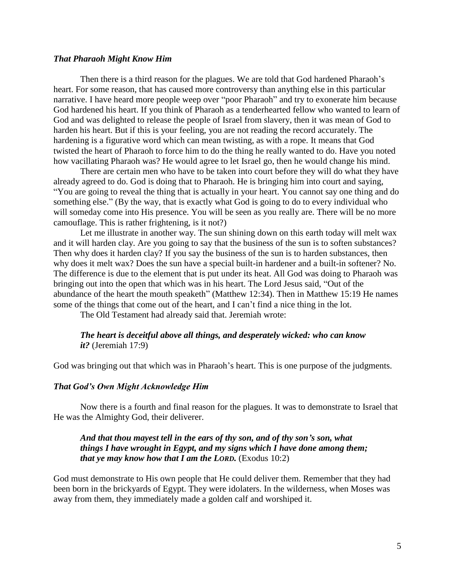## *That Pharaoh Might Know Him*

Then there is a third reason for the plagues. We are told that God hardened Pharaoh"s heart. For some reason, that has caused more controversy than anything else in this particular narrative. I have heard more people weep over "poor Pharaoh" and try to exonerate him because God hardened his heart. If you think of Pharaoh as a tenderhearted fellow who wanted to learn of God and was delighted to release the people of Israel from slavery, then it was mean of God to harden his heart. But if this is your feeling, you are not reading the record accurately. The hardening is a figurative word which can mean twisting, as with a rope. It means that God twisted the heart of Pharaoh to force him to do the thing he really wanted to do. Have you noted how vacillating Pharaoh was? He would agree to let Israel go, then he would change his mind.

There are certain men who have to be taken into court before they will do what they have already agreed to do. God is doing that to Pharaoh. He is bringing him into court and saying, "You are going to reveal the thing that is actually in your heart. You cannot say one thing and do something else." (By the way, that is exactly what God is going to do to every individual who will someday come into His presence. You will be seen as you really are. There will be no more camouflage. This is rather frightening, is it not?)

Let me illustrate in another way. The sun shining down on this earth today will melt wax and it will harden clay. Are you going to say that the business of the sun is to soften substances? Then why does it harden clay? If you say the business of the sun is to harden substances, then why does it melt wax? Does the sun have a special built-in hardener and a built-in softener? No. The difference is due to the element that is put under its heat. All God was doing to Pharaoh was bringing out into the open that which was in his heart. The Lord Jesus said, "Out of the abundance of the heart the mouth speaketh" (Matthew 12:34). Then in Matthew 15:19 He names some of the things that come out of the heart, and I can"t find a nice thing in the lot.

The Old Testament had already said that. Jeremiah wrote:

## *The heart is deceitful above all things, and desperately wicked: who can know it?* (Jeremiah 17:9)

God was bringing out that which was in Pharaoh's heart. This is one purpose of the judgments.

## *That God's Own Might Acknowledge Him*

Now there is a fourth and final reason for the plagues. It was to demonstrate to Israel that He was the Almighty God, their deliverer.

# *And that thou mayest tell in the ears of thy son, and of thy son's son, what things I have wrought in Egypt, and my signs which I have done among them; that ye may know how that I am the LORD.* (Exodus 10:2)

God must demonstrate to His own people that He could deliver them. Remember that they had been born in the brickyards of Egypt. They were idolaters. In the wilderness, when Moses was away from them, they immediately made a golden calf and worshiped it.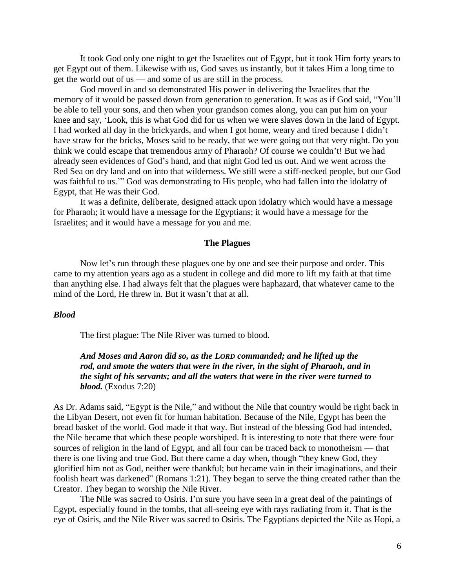It took God only one night to get the Israelites out of Egypt, but it took Him forty years to get Egypt out of them. Likewise with us, God saves us instantly, but it takes Him a long time to get the world out of us — and some of us are still in the process.

God moved in and so demonstrated His power in delivering the Israelites that the memory of it would be passed down from generation to generation. It was as if God said, "You"ll be able to tell your sons, and then when your grandson comes along, you can put him on your knee and say, "Look, this is what God did for us when we were slaves down in the land of Egypt. I had worked all day in the brickyards, and when I got home, weary and tired because I didn"t have straw for the bricks, Moses said to be ready, that we were going out that very night. Do you think we could escape that tremendous army of Pharaoh? Of course we couldn"t! But we had already seen evidences of God"s hand, and that night God led us out. And we went across the Red Sea on dry land and on into that wilderness. We still were a stiff-necked people, but our God was faithful to us."" God was demonstrating to His people, who had fallen into the idolatry of Egypt, that He was their God.

It was a definite, deliberate, designed attack upon idolatry which would have a message for Pharaoh; it would have a message for the Egyptians; it would have a message for the Israelites; and it would have a message for you and me.

## **The Plagues**

Now let's run through these plagues one by one and see their purpose and order. This came to my attention years ago as a student in college and did more to lift my faith at that time than anything else. I had always felt that the plagues were haphazard, that whatever came to the mind of the Lord. He threw in. But it wasn't that at all.

## *Blood*

The first plague: The Nile River was turned to blood.

*And Moses and Aaron did so, as the LORD commanded; and he lifted up the rod, and smote the waters that were in the river, in the sight of Pharaoh, and in the sight of his servants; and all the waters that were in the river were turned to blood.* (Exodus 7:20)

As Dr. Adams said, "Egypt is the Nile," and without the Nile that country would be right back in the Libyan Desert, not even fit for human habitation. Because of the Nile, Egypt has been the bread basket of the world. God made it that way. But instead of the blessing God had intended, the Nile became that which these people worshiped. It is interesting to note that there were four sources of religion in the land of Egypt, and all four can be traced back to monotheism — that there is one living and true God. But there came a day when, though "they knew God, they glorified him not as God, neither were thankful; but became vain in their imaginations, and their foolish heart was darkened" (Romans 1:21). They began to serve the thing created rather than the Creator. They began to worship the Nile River.

The Nile was sacred to Osiris. I'm sure you have seen in a great deal of the paintings of Egypt, especially found in the tombs, that all-seeing eye with rays radiating from it. That is the eye of Osiris, and the Nile River was sacred to Osiris. The Egyptians depicted the Nile as Hopi, a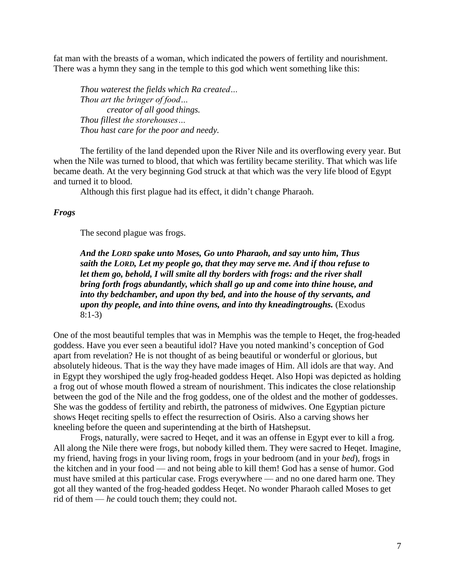fat man with the breasts of a woman, which indicated the powers of fertility and nourishment. There was a hymn they sang in the temple to this god which went something like this:

*Thou waterest the fields which Ra created… Thou art the bringer of food… creator of all good things. Thou fillest the storehouses… Thou hast care for the poor and needy.*

The fertility of the land depended upon the River Nile and its overflowing every year. But when the Nile was turned to blood, that which was fertility became sterility. That which was life became death. At the very beginning God struck at that which was the very life blood of Egypt and turned it to blood.

Although this first plague had its effect, it didn"t change Pharaoh.

#### *Frogs*

The second plague was frogs.

*And the LORD spake unto Moses, Go unto Pharaoh, and say unto him, Thus saith the LORD, Let my people go, that they may serve me. And if thou refuse to let them go, behold, I will smite all thy borders with frogs: and the river shall bring forth frogs abundantly, which shall go up and come into thine house, and into thy bedchamber, and upon thy bed, and into the house of thy servants, and upon thy people, and into thine ovens, and into thy kneadingtroughs.* (Exodus 8:1-3)

One of the most beautiful temples that was in Memphis was the temple to Heqet, the frog-headed goddess. Have you ever seen a beautiful idol? Have you noted mankind"s conception of God apart from revelation? He is not thought of as being beautiful or wonderful or glorious, but absolutely hideous. That is the way they have made images of Him. All idols are that way. And in Egypt they worshiped the ugly frog-headed goddess Heqet. Also Hopi was depicted as holding a frog out of whose mouth flowed a stream of nourishment. This indicates the close relationship between the god of the Nile and the frog goddess, one of the oldest and the mother of goddesses. She was the goddess of fertility and rebirth, the patroness of midwives. One Egyptian picture shows Heqet reciting spells to effect the resurrection of Osiris. Also a carving shows her kneeling before the queen and superintending at the birth of Hatshepsut.

Frogs, naturally, were sacred to Heqet, and it was an offense in Egypt ever to kill a frog. All along the Nile there were frogs, but nobody killed them. They were sacred to Heqet. Imagine, my friend, having frogs in your living room, frogs in your bedroom (and in your *bed*), frogs in the kitchen and in your food — and not being able to kill them! God has a sense of humor. God must have smiled at this particular case. Frogs everywhere — and no one dared harm one. They got all they wanted of the frog-headed goddess Heqet. No wonder Pharaoh called Moses to get rid of them — *he* could touch them; they could not.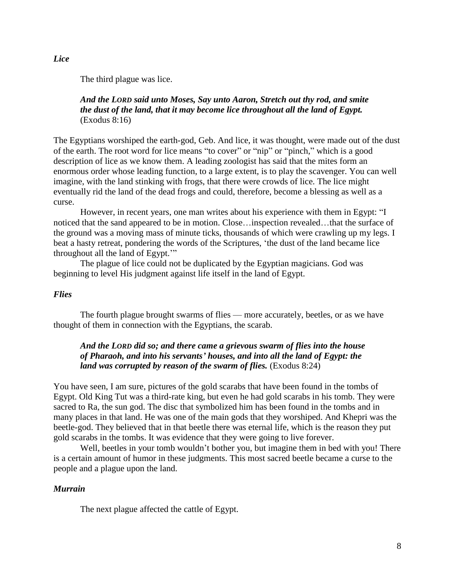*Lice*

The third plague was lice.

# *And the LORD said unto Moses, Say unto Aaron, Stretch out thy rod, and smite the dust of the land, that it may become lice throughout all the land of Egypt.* (Exodus 8:16)

The Egyptians worshiped the earth-god, Geb. And lice, it was thought, were made out of the dust of the earth. The root word for lice means "to cover" or "nip" or "pinch," which is a good description of lice as we know them. A leading zoologist has said that the mites form an enormous order whose leading function, to a large extent, is to play the scavenger. You can well imagine, with the land stinking with frogs, that there were crowds of lice. The lice might eventually rid the land of the dead frogs and could, therefore, become a blessing as well as a curse.

However, in recent years, one man writes about his experience with them in Egypt: "I noticed that the sand appeared to be in motion. Close…inspection revealed…that the surface of the ground was a moving mass of minute ticks, thousands of which were crawling up my legs. I beat a hasty retreat, pondering the words of the Scriptures, "the dust of the land became lice throughout all the land of Egypt.""

The plague of lice could not be duplicated by the Egyptian magicians. God was beginning to level His judgment against life itself in the land of Egypt.

## *Flies*

The fourth plague brought swarms of flies — more accurately, beetles, or as we have thought of them in connection with the Egyptians, the scarab.

# *And the LORD did so; and there came a grievous swarm of flies into the house of Pharaoh, and into his servants' houses, and into all the land of Egypt: the land was corrupted by reason of the swarm of flies.* (Exodus 8:24)

You have seen, I am sure, pictures of the gold scarabs that have been found in the tombs of Egypt. Old King Tut was a third-rate king, but even he had gold scarabs in his tomb. They were sacred to Ra, the sun god. The disc that symbolized him has been found in the tombs and in many places in that land. He was one of the main gods that they worshiped. And Khepri was the beetle-god. They believed that in that beetle there was eternal life, which is the reason they put gold scarabs in the tombs. It was evidence that they were going to live forever.

Well, beetles in your tomb wouldn't bother you, but imagine them in bed with you! There is a certain amount of humor in these judgments. This most sacred beetle became a curse to the people and a plague upon the land.

## *Murrain*

The next plague affected the cattle of Egypt.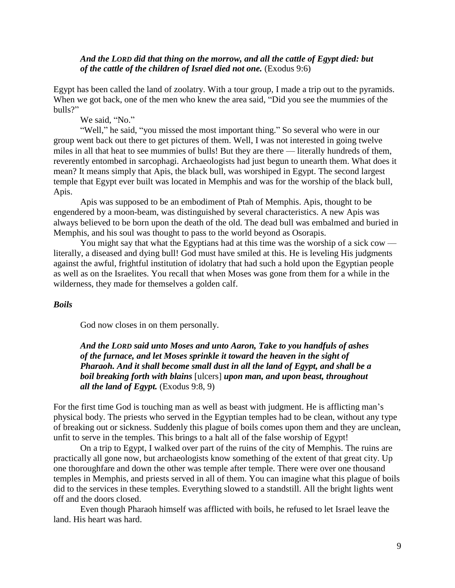## *And the LORD did that thing on the morrow, and all the cattle of Egypt died: but of the cattle of the children of Israel died not one.* (Exodus 9:6)

Egypt has been called the land of zoolatry. With a tour group, I made a trip out to the pyramids. When we got back, one of the men who knew the area said, "Did you see the mummies of the bulls?"

We said, "No."

"Well," he said, "you missed the most important thing." So several who were in our group went back out there to get pictures of them. Well, I was not interested in going twelve miles in all that heat to see mummies of bulls! But they are there — literally hundreds of them, reverently entombed in sarcophagi. Archaeologists had just begun to unearth them. What does it mean? It means simply that Apis, the black bull, was worshiped in Egypt. The second largest temple that Egypt ever built was located in Memphis and was for the worship of the black bull, Apis.

Apis was supposed to be an embodiment of Ptah of Memphis. Apis, thought to be engendered by a moon-beam, was distinguished by several characteristics. A new Apis was always believed to be born upon the death of the old. The dead bull was embalmed and buried in Memphis, and his soul was thought to pass to the world beyond as Osorapis.

You might say that what the Egyptians had at this time was the worship of a sick cow literally, a diseased and dying bull! God must have smiled at this. He is leveling His judgments against the awful, frightful institution of idolatry that had such a hold upon the Egyptian people as well as on the Israelites. You recall that when Moses was gone from them for a while in the wilderness, they made for themselves a golden calf.

# *Boils*

God now closes in on them personally.

*And the LORD said unto Moses and unto Aaron, Take to you handfuls of ashes of the furnace, and let Moses sprinkle it toward the heaven in the sight of Pharaoh. And it shall become small dust in all the land of Egypt, and shall be a boil breaking forth with blains* [ulcers] *upon man, and upon beast, throughout all the land of Egypt.* (Exodus 9:8, 9)

For the first time God is touching man as well as beast with judgment. He is afflicting man's physical body. The priests who served in the Egyptian temples had to be clean, without any type of breaking out or sickness. Suddenly this plague of boils comes upon them and they are unclean, unfit to serve in the temples. This brings to a halt all of the false worship of Egypt!

On a trip to Egypt, I walked over part of the ruins of the city of Memphis. The ruins are practically all gone now, but archaeologists know something of the extent of that great city. Up one thoroughfare and down the other was temple after temple. There were over one thousand temples in Memphis, and priests served in all of them. You can imagine what this plague of boils did to the services in these temples. Everything slowed to a standstill. All the bright lights went off and the doors closed.

Even though Pharaoh himself was afflicted with boils, he refused to let Israel leave the land. His heart was hard.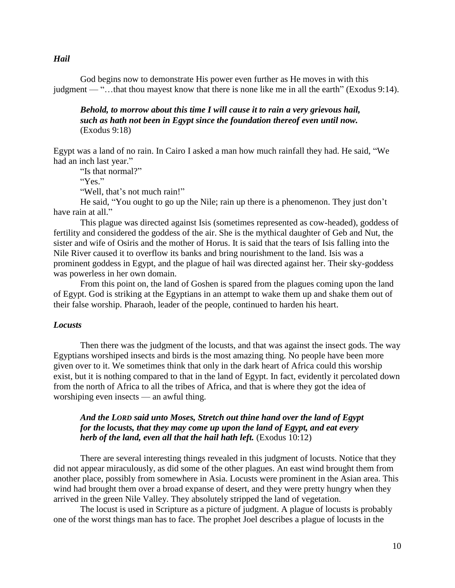God begins now to demonstrate His power even further as He moves in with this judgment — "…that thou mayest know that there is none like me in all the earth" (Exodus 9:14).

*Behold, to morrow about this time I will cause it to rain a very grievous hail, such as hath not been in Egypt since the foundation thereof even until now.* (Exodus 9:18)

Egypt was a land of no rain. In Cairo I asked a man how much rainfall they had. He said, "We had an inch last year."

"Is that normal?"

"Yes."

"Well, that's not much rain!"

He said, "You ought to go up the Nile; rain up there is a phenomenon. They just don"t have rain at all."

This plague was directed against Isis (sometimes represented as cow-headed), goddess of fertility and considered the goddess of the air. She is the mythical daughter of Geb and Nut, the sister and wife of Osiris and the mother of Horus. It is said that the tears of Isis falling into the Nile River caused it to overflow its banks and bring nourishment to the land. Isis was a prominent goddess in Egypt, and the plague of hail was directed against her. Their sky-goddess was powerless in her own domain.

From this point on, the land of Goshen is spared from the plagues coming upon the land of Egypt. God is striking at the Egyptians in an attempt to wake them up and shake them out of their false worship. Pharaoh, leader of the people, continued to harden his heart.

## *Locusts*

Then there was the judgment of the locusts, and that was against the insect gods. The way Egyptians worshiped insects and birds is the most amazing thing. No people have been more given over to it. We sometimes think that only in the dark heart of Africa could this worship exist, but it is nothing compared to that in the land of Egypt. In fact, evidently it percolated down from the north of Africa to all the tribes of Africa, and that is where they got the idea of worshiping even insects — an awful thing.

# *And the LORD said unto Moses, Stretch out thine hand over the land of Egypt for the locusts, that they may come up upon the land of Egypt, and eat every herb of the land, even all that the hail hath left.* (Exodus 10:12)

There are several interesting things revealed in this judgment of locusts. Notice that they did not appear miraculously, as did some of the other plagues. An east wind brought them from another place, possibly from somewhere in Asia. Locusts were prominent in the Asian area. This wind had brought them over a broad expanse of desert, and they were pretty hungry when they arrived in the green Nile Valley. They absolutely stripped the land of vegetation.

The locust is used in Scripture as a picture of judgment. A plague of locusts is probably one of the worst things man has to face. The prophet Joel describes a plague of locusts in the

#### *Hail*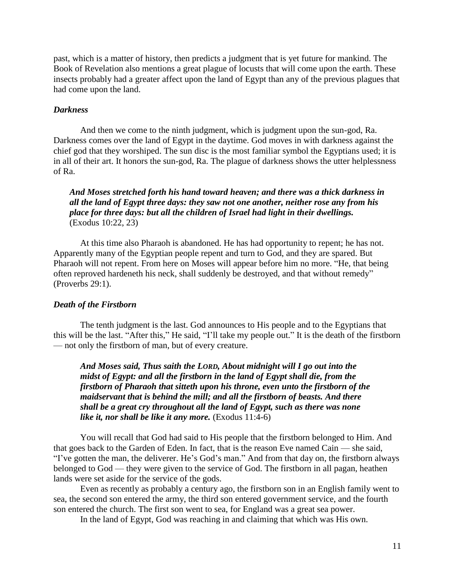past, which is a matter of history, then predicts a judgment that is yet future for mankind. The Book of Revelation also mentions a great plague of locusts that will come upon the earth. These insects probably had a greater affect upon the land of Egypt than any of the previous plagues that had come upon the land.

#### *Darkness*

And then we come to the ninth judgment, which is judgment upon the sun-god, Ra. Darkness comes over the land of Egypt in the daytime. God moves in with darkness against the chief god that they worshiped. The sun disc is the most familiar symbol the Egyptians used; it is in all of their art. It honors the sun-god, Ra. The plague of darkness shows the utter helplessness of Ra.

*And Moses stretched forth his hand toward heaven; and there was a thick darkness in all the land of Egypt three days: they saw not one another, neither rose any from his place for three days: but all the children of Israel had light in their dwellings.* (Exodus 10:22, 23)

At this time also Pharaoh is abandoned. He has had opportunity to repent; he has not. Apparently many of the Egyptian people repent and turn to God, and they are spared. But Pharaoh will not repent. From here on Moses will appear before him no more. "He, that being often reproved hardeneth his neck, shall suddenly be destroyed, and that without remedy" (Proverbs 29:1).

## *Death of the Firstborn*

The tenth judgment is the last. God announces to His people and to the Egyptians that this will be the last. "After this," He said, "I"ll take my people out." It is the death of the firstborn — not only the firstborn of man, but of every creature.

*And Moses said, Thus saith the LORD, About midnight will I go out into the midst of Egypt: and all the firstborn in the land of Egypt shall die, from the firstborn of Pharaoh that sitteth upon his throne, even unto the firstborn of the maidservant that is behind the mill; and all the firstborn of beasts. And there shall be a great cry throughout all the land of Egypt, such as there was none like it, nor shall be like it any more.* (Exodus 11:4-6)

You will recall that God had said to His people that the firstborn belonged to Him. And that goes back to the Garden of Eden. In fact, that is the reason Eve named Cain — she said, "I've gotten the man, the deliverer. He's God's man." And from that day on, the firstborn always belonged to God — they were given to the service of God. The firstborn in all pagan, heathen lands were set aside for the service of the gods.

Even as recently as probably a century ago, the firstborn son in an English family went to sea, the second son entered the army, the third son entered government service, and the fourth son entered the church. The first son went to sea, for England was a great sea power.

In the land of Egypt, God was reaching in and claiming that which was His own.